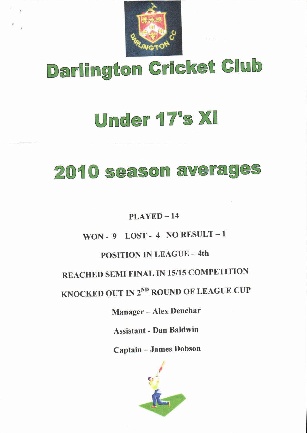

# Darlington Gricket Glub

## Under {7's Xl

## 2O{O season averages

## $PLAYED - 14$

## WON-9 LOST-4 NORESULT-1

## POSITION IN LEAGUE - 4th

## REACHED SEMI FINAL IN 15/15 COMPETITION

## KNOCKED OUT IN 2<sup>ND</sup> ROUND OF LEAGUE CUP

## Manager - Alex Deuchar

Assistant - Dan Baldwin

Captain - James Dobson

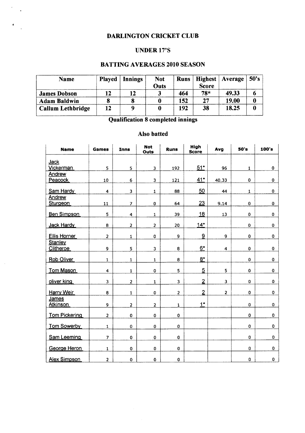#### DARLINGTON CRICKET CLUB

 $\mathcal{L}_{\mathbf{z}}$ 

 $\alpha$ 

#### UNDER 17'S

#### BATTING AVERAGES 2O1O SEASON

| <b>Name</b>              | <b>Played</b> | Innings | <b>Not</b><br>Outs | <b>Runs</b> | <b>Highest</b><br><b>Score</b> | Average | 50's |
|--------------------------|---------------|---------|--------------------|-------------|--------------------------------|---------|------|
| <b>James Dobson</b>      | 12            | 12      | 3                  | 464         | $78*$                          | 49.33   |      |
| <b>Adam Baldwin</b>      |               |         |                    | 152         | 27                             | 19.00   |      |
| <b>Callum Lethbridge</b> | 12            |         |                    | 192         | 38                             | 18.25   |      |

Qualification 8 completed innings

#### Also batted

| Name                 | <b>Games</b>        | Inns                    | <b>Not</b><br>Outs      | <b>Runs</b>             | High<br><b>Score</b> | Avg            | 50's         | 100's       |
|----------------------|---------------------|-------------------------|-------------------------|-------------------------|----------------------|----------------|--------------|-------------|
| <b>Jack</b>          |                     |                         |                         |                         |                      |                |              |             |
| <b>Vickerman</b>     | 5                   | 5                       | $\overline{\mathbf{3}}$ | 192                     | $51*$                | 96             | $\mathbf{1}$ | $\mathbf 0$ |
| Andrew<br>Peacock    | 10                  | 6                       | 3                       | 121                     | $41*$                | 40.33          | 0            | 0           |
|                      |                     |                         |                         |                         |                      |                |              |             |
| Sam Hardy            | $\overline{\bf{4}}$ | 3                       | $\mathbf{1}$            | 88                      | 50                   | 44             | $\mathbf{1}$ | 0           |
| Andrew               |                     |                         |                         |                         |                      |                |              |             |
| Sturgeon             | 11                  | 7                       | $\pmb{0}$               | 64                      | 23                   | 9.14           | $\pmb{0}$    | $\mathbf 0$ |
| <b>Ben Simpson</b>   | 5                   | $\overline{4}$          | 1                       | 39                      | 18                   | 13             | $\mathbf 0$  | 0           |
| Jack Hardy           | 8                   | $\overline{2}$          | $\overline{2}$          | 20                      | $14*$                |                | $\pmb{0}$    | 0           |
| Ellis Horner         | $\overline{a}$      | $\mathbf 1$             | $\mathbf 0$             | 9                       | 9                    | 9              | 0            | 0           |
| Stanley              |                     |                         |                         |                         |                      |                |              |             |
| <b>Clitheroe</b>     | 9                   | 5                       | 3                       | 8                       | $6*$                 | $\overline{4}$ | $\mathbf 0$  | 0           |
| Rob Oliver           | 1                   | 1                       | $\mathbf{1}$            | 8                       | $8*$                 |                | $\mathbf 0$  | 0           |
| <b>Tom Mason</b>     | 4                   | $\mathbf{1}$            | 0                       | 5                       | $\overline{5}$       | 5              | $\bf{0}$     | 0           |
| oliver king          | 3                   | $\overline{\mathbf{c}}$ | 1                       | 3                       | $\overline{2}$       | 3              | $\mathbf 0$  | $\bf{0}$    |
| <b>Harry Weir</b>    | 8                   | $\mathbf{1}$            | 0                       | $\overline{\mathbf{c}}$ | $\overline{2}$       | $\overline{2}$ | $\mathbf 0$  | $\mathbf 0$ |
| James                |                     |                         |                         |                         |                      |                |              |             |
| <b>Atkinson</b>      | 9                   | $\overline{2}$          | $\overline{2}$          | $\mathbf 1$             | $1*$                 |                | $\mathbf 0$  | 0           |
| <b>Tom Pickering</b> | $\overline{2}$      | $\bf{0}$                | $\mathbf 0$             | 0                       |                      |                | $\mathbf 0$  | $\bf{0}$    |
| <b>Tom Sowerby</b>   | $\mathbf{1}$        | 0                       | 0                       | $\pmb{0}$               |                      |                | $\mathbf 0$  | $\mathbf 0$ |
|                      |                     |                         |                         |                         |                      |                | $\mathbf 0$  | $\pmb{0}$   |
| <b>Sam Leeming</b>   | $\overline{ }$      | $\bf{0}$                | $\mathbf 0$             | 0                       |                      |                |              |             |
| George Heron         | 1                   | $\pmb{0}$               | 0                       | $\pmb{0}$               |                      |                | 0            | $\pmb{0}$   |
| <b>Alex Simpson</b>  | $\overline{2}$      | $\mathbf 0$             | $\mathbf 0$             | $\mathbf 0$             |                      |                | 0            | $\pmb{0}$   |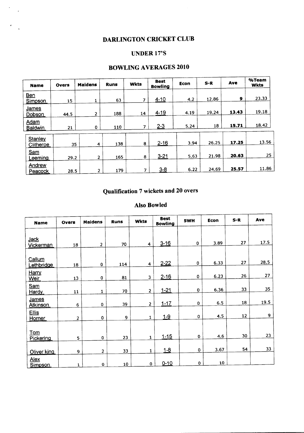## DARLINGTON CRICKET CLUB

#### UNDER 17'S

#### BOWLING AVERAGES 2O1O

| <b>Name</b>                   | <b>Overs</b> | <b>Maidens</b> | <b>Runs</b> | <b>Wkts</b>    | <b>Best</b><br><b>Bowling</b> | Econ | $S-R$ | Ave   | %Team<br><b>Wkts</b> |
|-------------------------------|--------------|----------------|-------------|----------------|-------------------------------|------|-------|-------|----------------------|
| Ben<br><b>Simpson</b>         | 15           |                | 63          | 7              | $4 - 10$                      | 4.2  | 12.86 | 9     | 23.33                |
| <u>James</u><br>Dobson        | 44.5         | $\overline{2}$ | 188         | 14             | $4 - 19$                      | 4.19 | 19.24 | 13.43 | 19.18                |
| <b>Adam</b><br><b>Baldwin</b> | 21           | $\bf{0}$       | 110         | 7              | $2 - 3$                       | 5.24 | 18    | 15.71 | 18.42                |
| Stanley<br>Clitheroe          | 35           | 4              | 138         | 8              | $2 - 16$                      | 3.94 | 26.25 | 17.25 | 13.56                |
| Sam<br>Leeming                | 29.2         | 2              | 165         | 8              | $3 - 21$                      | 5.63 | 21.98 | 20.63 | 25                   |
| Andrew<br>Peacock             | 28.5         | 2              | 179         | $\overline{7}$ | $3 - 8$                       | 6.22 | 24.69 | 25.57 | 11.86                |

### Qualification 7 wickets and 20 overs

#### Also Bowled

| <b>Name</b>              | <b>Overs</b> | <b>Maidens</b> | <b>Runs</b> | <b>Wkts</b>             | <b>Best</b><br><b>Bowling</b> | 5WH         | Econ | $S-R$ | Ave  |
|--------------------------|--------------|----------------|-------------|-------------------------|-------------------------------|-------------|------|-------|------|
|                          |              |                |             |                         |                               |             |      |       |      |
| <u>Jack</u><br>Vickerman | 18           | $\overline{2}$ | 70          | 4                       | $3 - 16$                      | $\mathbf 0$ | 3.89 | 27    | 17.5 |
| Callum                   |              |                |             |                         |                               |             |      |       |      |
| Lethbridge               | 18           | $\pmb{0}$      | 114         | 4                       | $2 - 22$                      | $\bf{0}$    | 6.33 | 27    | 28.5 |
| Harry<br>Weir            | 13           | 0              | 81          | 3                       | $2 - 16$                      | $\mathbf 0$ | 6.23 | 26    | 27   |
| Sam<br>Hardy             | 11           | $\mathbf{1}$   | 70          | $\overline{2}$          | $1 - 21$                      | $\pmb{0}$   | 6.36 | 33    | 35   |
| James<br><b>Atkinson</b> | 6            | 0              | 39          | $\overline{\mathbf{c}}$ | $1 - 17$                      | 0           | 6.5  | 18    | 19.5 |
| <b>Ellis</b><br>Horner   | 2            | $\mathbf 0$    | 9           | $\mathbf{1}$            | $1-9$                         | 0           | 4.5  | 12    | 9    |
|                          |              |                |             |                         |                               |             |      |       |      |
| Tom<br>Pickering         | 5            | $\mathbf{0}$   | 23          | $\mathbf{1}$            | $1 - 15$                      | 0           | 4.6  | 30    | 23   |
| Oliver king              | 9            | $\overline{2}$ | 33          | $\mathbf{1}$            | $1 - 8$                       | 0           | 3.67 | 54    | 33   |
| Alex<br>Simpson          | $\mathbf{1}$ | $\mathbf 0$    | 10          | $\mathbf 0$             | $0 - 10$                      | 0           | 10   |       |      |